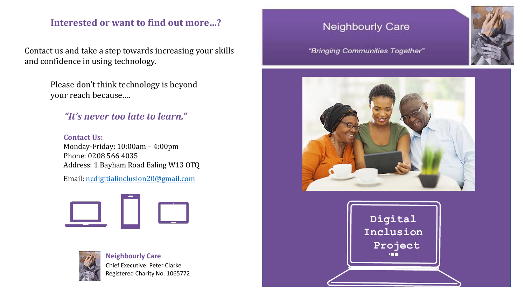### **Interested or want to find out more…?**

Contact us and take a step towards increasing your skills and confidence in using technology.

> Please don't think technology is beyond your reach because….

### *"It's never too late to learn."*

**Contact Us:** Monday-Friday: 10:00am – 4:00pm Phone: 0208 566 4035 Address: 1 Bayham Road Ealing W13 OTQ

Email: [ncdigitialinclusion20@gmail.com](mailto:ncdigitialinclusion20@gmail.com)





**Neighbourly Care** Chief Executive: Peter Clarke Registered Charity No. 1065772

## **Neighbourly Care**

#### "Bringing Communities Together"